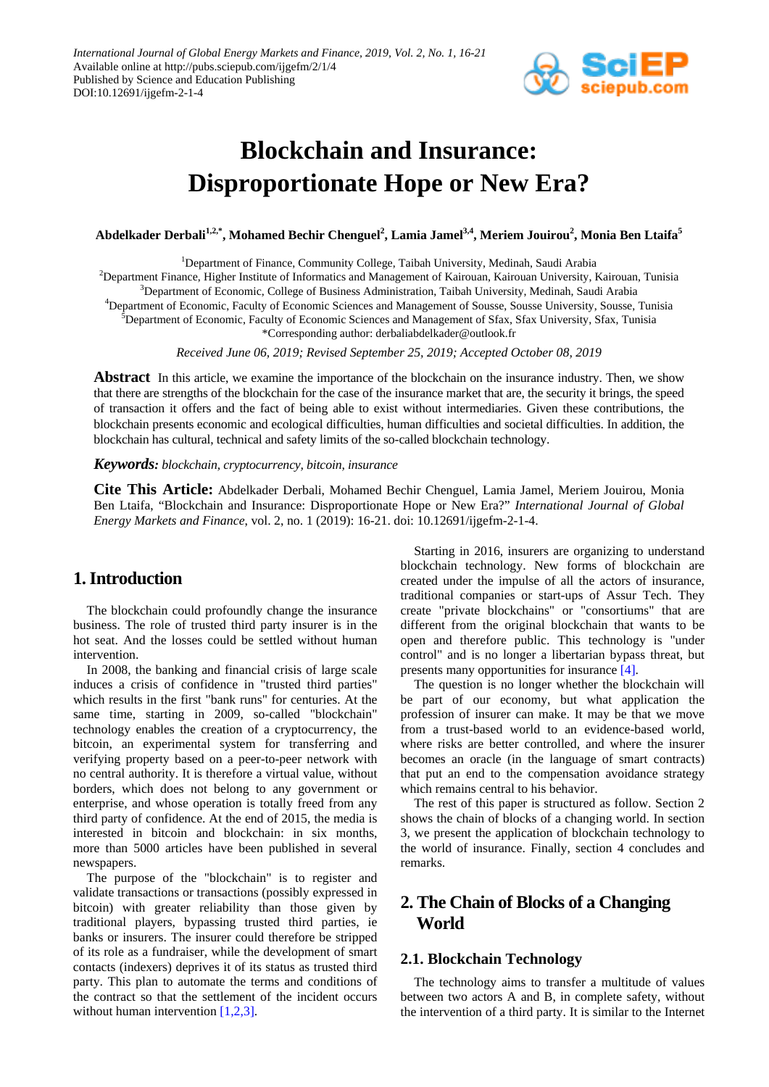

# **Blockchain and Insurance: Disproportionate Hope or New Era?**

 $\Lambda$ bdelkader Derbali $^{1,2,*}$ , Mohamed Bechir Chenguel $^2$ , Lamia Jamel $^{3,4}$ , Meriem Jouirou $^2$ , Monia Ben Ltaifa $^5$ 

<sup>1</sup>Department of Finance, Community College, Taibah University, Medinah, Saudi Arabia 2 Department Finance, Higher Institute of Informatics and Management of Kairouan, Kairouan University, Kairouan, Tunisia 3 Department of Economic, College of Business Administration, Taibah University, Medinah, Saudi Arabia 4 Department of Economic, Faculty of Economic Sciences and Management of Sousse, Sousse University, Sousse, Tunisia <sup>5</sup>Department of Economic, Faculty of Economic Sciences and Management of Sfax, Sfax University, Sfax, Tunisia \*Corresponding author: derbaliabdelkader@outlook.fr

*Received June 06, 2019; Revised September 25, 2019; Accepted October 08, 2019*

**Abstract** In this article, we examine the importance of the blockchain on the insurance industry. Then, we show that there are strengths of the blockchain for the case of the insurance market that are, the security it brings, the speed of transaction it offers and the fact of being able to exist without intermediaries. Given these contributions, the blockchain presents economic and ecological difficulties, human difficulties and societal difficulties. In addition, the blockchain has cultural, technical and safety limits of the so-called blockchain technology.

#### *Keywords: blockchain, cryptocurrency, bitcoin, insurance*

**Cite This Article:** Abdelkader Derbali, Mohamed Bechir Chenguel, Lamia Jamel, Meriem Jouirou, Monia Ben Ltaifa, "Blockchain and Insurance: Disproportionate Hope or New Era?" *International Journal of Global Energy Markets and Finance*, vol. 2, no. 1 (2019): 16-21. doi: 10.12691/ijgefm-2-1-4.

# **1. Introduction**

The blockchain could profoundly change the insurance business. The role of trusted third party insurer is in the hot seat. And the losses could be settled without human intervention.

In 2008, the banking and financial crisis of large scale induces a crisis of confidence in "trusted third parties" which results in the first "bank runs" for centuries. At the same time, starting in 2009, so-called "blockchain" technology enables the creation of a cryptocurrency, the bitcoin, an experimental system for transferring and verifying property based on a peer-to-peer network with no central authority. It is therefore a virtual value, without borders, which does not belong to any government or enterprise, and whose operation is totally freed from any third party of confidence. At the end of 2015, the media is interested in bitcoin and blockchain: in six months, more than 5000 articles have been published in several newspapers.

The purpose of the "blockchain" is to register and validate transactions or transactions (possibly expressed in bitcoin) with greater reliability than those given by traditional players, bypassing trusted third parties, ie banks or insurers. The insurer could therefore be stripped of its role as a fundraiser, while the development of smart contacts (indexers) deprives it of its status as trusted third party. This plan to automate the terms and conditions of the contract so that the settlement of the incident occurs without human intervention [\[1,2,3\].](#page-5-0)

Starting in 2016, insurers are organizing to understand blockchain technology. New forms of blockchain are created under the impulse of all the actors of insurance, traditional companies or start-ups of Assur Tech. They create "private blockchains" or "consortiums" that are different from the original blockchain that wants to be open and therefore public. This technology is "under control" and is no longer a libertarian bypass threat, but presents many opportunities for insurance [\[4\].](#page-5-1)

The question is no longer whether the blockchain will be part of our economy, but what application the profession of insurer can make. It may be that we move from a trust-based world to an evidence-based world, where risks are better controlled, and where the insurer becomes an oracle (in the language of smart contracts) that put an end to the compensation avoidance strategy which remains central to his behavior.

The rest of this paper is structured as follow. Section 2 shows the chain of blocks of a changing world. In section 3, we present the application of blockchain technology to the world of insurance. Finally, section 4 concludes and remarks.

# **2. The Chain of Blocks of a Changing World**

#### **2.1. Blockchain Technology**

The technology aims to transfer a multitude of values between two actors A and B, in complete safety, without the intervention of a third party. It is similar to the Internet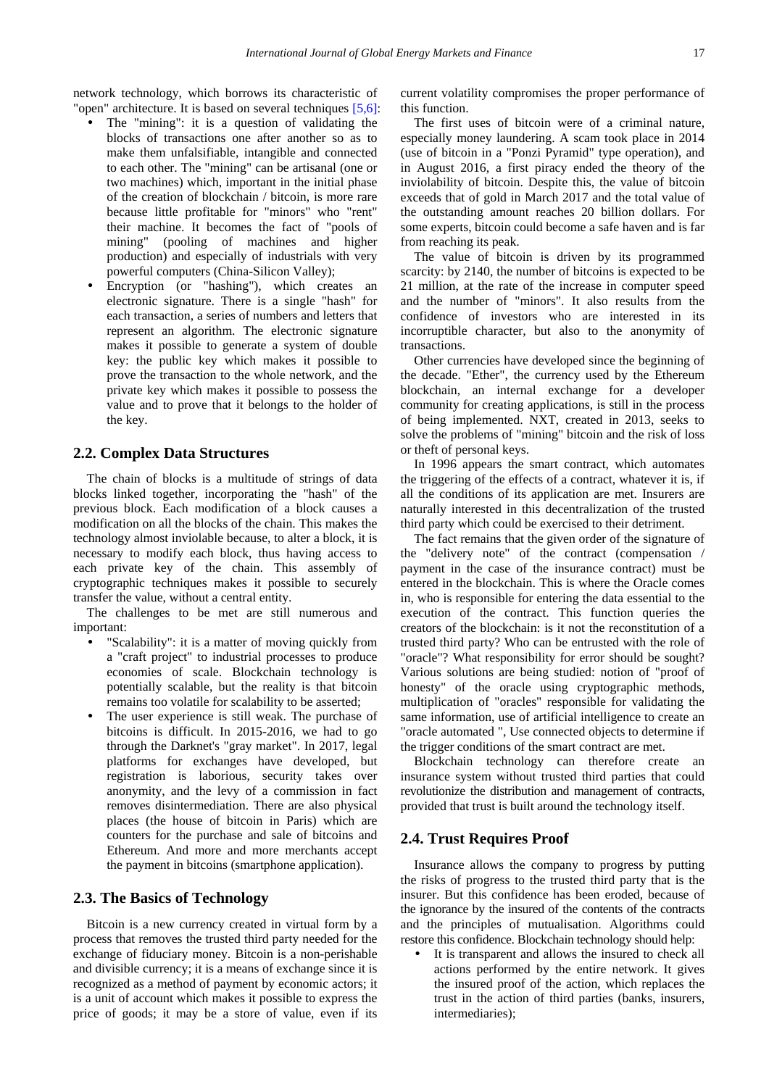network technology, which borrows its characteristic of "open" architecture. It is based on several techniques [\[5,6\]:](#page-5-2)

- The "mining": it is a question of validating the blocks of transactions one after another so as to make them unfalsifiable, intangible and connected to each other. The "mining" can be artisanal (one or two machines) which, important in the initial phase of the creation of blockchain / bitcoin, is more rare because little profitable for "minors" who "rent" their machine. It becomes the fact of "pools of mining" (pooling of machines and higher production) and especially of industrials with very powerful computers (China-Silicon Valley);
- Encryption (or "hashing"), which creates an electronic signature. There is a single "hash" for each transaction, a series of numbers and letters that represent an algorithm. The electronic signature makes it possible to generate a system of double key: the public key which makes it possible to prove the transaction to the whole network, and the private key which makes it possible to possess the value and to prove that it belongs to the holder of the key.

#### **2.2. Complex Data Structures**

The chain of blocks is a multitude of strings of data blocks linked together, incorporating the "hash" of the previous block. Each modification of a block causes a modification on all the blocks of the chain. This makes the technology almost inviolable because, to alter a block, it is necessary to modify each block, thus having access to each private key of the chain. This assembly of cryptographic techniques makes it possible to securely transfer the value, without a central entity.

The challenges to be met are still numerous and important:

- "Scalability": it is a matter of moving quickly from a "craft project" to industrial processes to produce economies of scale. Blockchain technology is potentially scalable, but the reality is that bitcoin remains too volatile for scalability to be asserted;
- The user experience is still weak. The purchase of bitcoins is difficult. In 2015-2016, we had to go through the Darknet's "gray market". In 2017, legal platforms for exchanges have developed, but registration is laborious, security takes over anonymity, and the levy of a commission in fact removes disintermediation. There are also physical places (the house of bitcoin in Paris) which are counters for the purchase and sale of bitcoins and Ethereum. And more and more merchants accept the payment in bitcoins (smartphone application).

#### **2.3. The Basics of Technology**

Bitcoin is a new currency created in virtual form by a process that removes the trusted third party needed for the exchange of fiduciary money. Bitcoin is a non-perishable and divisible currency; it is a means of exchange since it is recognized as a method of payment by economic actors; it is a unit of account which makes it possible to express the price of goods; it may be a store of value, even if its current volatility compromises the proper performance of this function.

The first uses of bitcoin were of a criminal nature, especially money laundering. A scam took place in 2014 (use of bitcoin in a "Ponzi Pyramid" type operation), and in August 2016, a first piracy ended the theory of the inviolability of bitcoin. Despite this, the value of bitcoin exceeds that of gold in March 2017 and the total value of the outstanding amount reaches 20 billion dollars. For some experts, bitcoin could become a safe haven and is far from reaching its peak.

The value of bitcoin is driven by its programmed scarcity: by 2140, the number of bitcoins is expected to be 21 million, at the rate of the increase in computer speed and the number of "minors". It also results from the confidence of investors who are interested in its incorruptible character, but also to the anonymity of transactions.

Other currencies have developed since the beginning of the decade. "Ether", the currency used by the Ethereum blockchain, an internal exchange for a developer community for creating applications, is still in the process of being implemented. NXT, created in 2013, seeks to solve the problems of "mining" bitcoin and the risk of loss or theft of personal keys.

In 1996 appears the smart contract, which automates the triggering of the effects of a contract, whatever it is, if all the conditions of its application are met. Insurers are naturally interested in this decentralization of the trusted third party which could be exercised to their detriment.

The fact remains that the given order of the signature of the "delivery note" of the contract (compensation / payment in the case of the insurance contract) must be entered in the blockchain. This is where the Oracle comes in, who is responsible for entering the data essential to the execution of the contract. This function queries the creators of the blockchain: is it not the reconstitution of a trusted third party? Who can be entrusted with the role of "oracle"? What responsibility for error should be sought? Various solutions are being studied: notion of "proof of honesty" of the oracle using cryptographic methods, multiplication of "oracles" responsible for validating the same information, use of artificial intelligence to create an "oracle automated ", Use connected objects to determine if the trigger conditions of the smart contract are met.

Blockchain technology can therefore create an insurance system without trusted third parties that could revolutionize the distribution and management of contracts, provided that trust is built around the technology itself.

#### **2.4. Trust Requires Proof**

Insurance allows the company to progress by putting the risks of progress to the trusted third party that is the insurer. But this confidence has been eroded, because of the ignorance by the insured of the contents of the contracts and the principles of mutualisation. Algorithms could restore this confidence. Blockchain technology should help:

 It is transparent and allows the insured to check all actions performed by the entire network. It gives the insured proof of the action, which replaces the trust in the action of third parties (banks, insurers, intermediaries);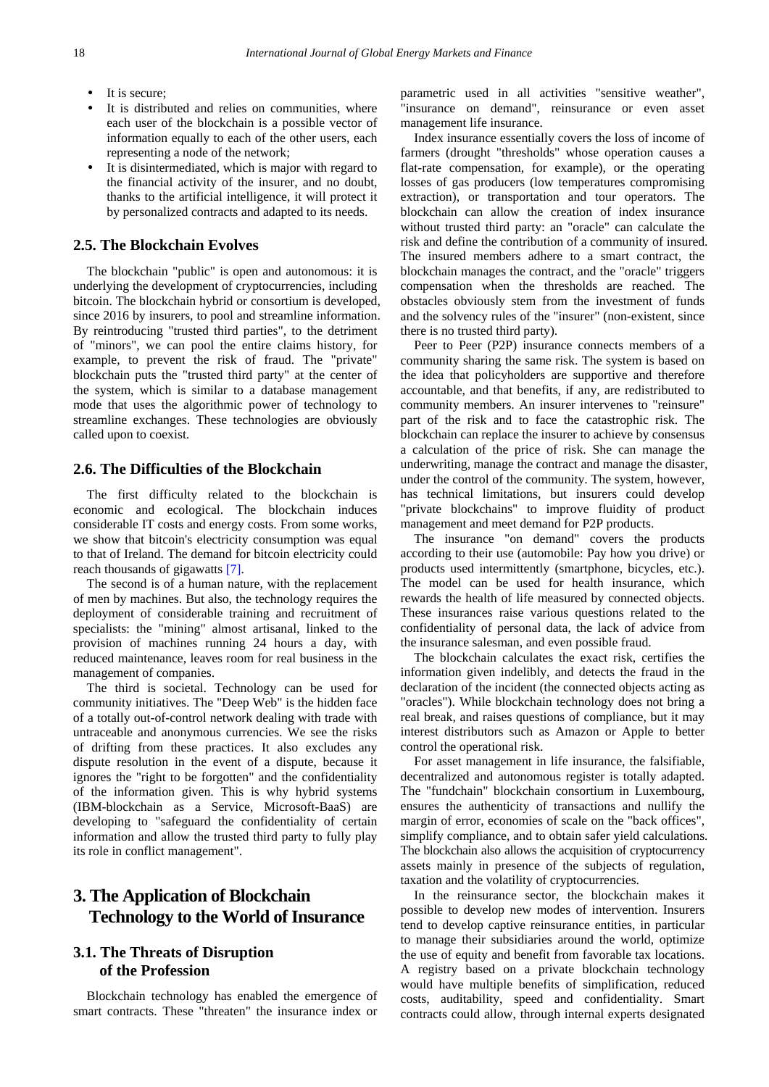- It is secure;
- It is distributed and relies on communities, where each user of the blockchain is a possible vector of information equally to each of the other users, each representing a node of the network;
- It is disintermediated, which is major with regard to the financial activity of the insurer, and no doubt, thanks to the artificial intelligence, it will protect it by personalized contracts and adapted to its needs.

#### **2.5. The Blockchain Evolves**

The blockchain "public" is open and autonomous: it is underlying the development of cryptocurrencies, including bitcoin. The blockchain hybrid or consortium is developed, since 2016 by insurers, to pool and streamline information. By reintroducing "trusted third parties", to the detriment of "minors", we can pool the entire claims history, for example, to prevent the risk of fraud. The "private" blockchain puts the "trusted third party" at the center of the system, which is similar to a database management mode that uses the algorithmic power of technology to streamline exchanges. These technologies are obviously called upon to coexist.

#### **2.6. The Difficulties of the Blockchain**

The first difficulty related to the blockchain is economic and ecological. The blockchain induces considerable IT costs and energy costs. From some works, we show that bitcoin's electricity consumption was equal to that of Ireland. The demand for bitcoin electricity could reach thousands of gigawatts [\[7\].](#page-5-3)

The second is of a human nature, with the replacement of men by machines. But also, the technology requires the deployment of considerable training and recruitment of specialists: the "mining" almost artisanal, linked to the provision of machines running 24 hours a day, with reduced maintenance, leaves room for real business in the management of companies.

The third is societal. Technology can be used for community initiatives. The "Deep Web" is the hidden face of a totally out-of-control network dealing with trade with untraceable and anonymous currencies. We see the risks of drifting from these practices. It also excludes any dispute resolution in the event of a dispute, because it ignores the "right to be forgotten" and the confidentiality of the information given. This is why hybrid systems (IBM-blockchain as a Service, Microsoft-BaaS) are developing to "safeguard the confidentiality of certain information and allow the trusted third party to fully play its role in conflict management".

# **3. The Application of Blockchain Technology to the World of Insurance**

# **3.1. The Threats of Disruption of the Profession**

Blockchain technology has enabled the emergence of smart contracts. These "threaten" the insurance index or parametric used in all activities "sensitive weather", "insurance on demand", reinsurance or even asset management life insurance.

Index insurance essentially covers the loss of income of farmers (drought "thresholds" whose operation causes a flat-rate compensation, for example), or the operating losses of gas producers (low temperatures compromising extraction), or transportation and tour operators. The blockchain can allow the creation of index insurance without trusted third party: an "oracle" can calculate the risk and define the contribution of a community of insured. The insured members adhere to a smart contract, the blockchain manages the contract, and the "oracle" triggers compensation when the thresholds are reached. The obstacles obviously stem from the investment of funds and the solvency rules of the "insurer" (non-existent, since there is no trusted third party).

Peer to Peer (P2P) insurance connects members of a community sharing the same risk. The system is based on the idea that policyholders are supportive and therefore accountable, and that benefits, if any, are redistributed to community members. An insurer intervenes to "reinsure" part of the risk and to face the catastrophic risk. The blockchain can replace the insurer to achieve by consensus a calculation of the price of risk. She can manage the underwriting, manage the contract and manage the disaster, under the control of the community. The system, however, has technical limitations, but insurers could develop "private blockchains" to improve fluidity of product management and meet demand for P2P products.

The insurance "on demand" covers the products according to their use (automobile: Pay how you drive) or products used intermittently (smartphone, bicycles, etc.). The model can be used for health insurance, which rewards the health of life measured by connected objects. These insurances raise various questions related to the confidentiality of personal data, the lack of advice from the insurance salesman, and even possible fraud.

The blockchain calculates the exact risk, certifies the information given indelibly, and detects the fraud in the declaration of the incident (the connected objects acting as "oracles"). While blockchain technology does not bring a real break, and raises questions of compliance, but it may interest distributors such as Amazon or Apple to better control the operational risk.

For asset management in life insurance, the falsifiable, decentralized and autonomous register is totally adapted. The "fundchain" blockchain consortium in Luxembourg, ensures the authenticity of transactions and nullify the margin of error, economies of scale on the "back offices", simplify compliance, and to obtain safer yield calculations. The blockchain also allows the acquisition of cryptocurrency assets mainly in presence of the subjects of regulation, taxation and the volatility of cryptocurrencies.

In the reinsurance sector, the blockchain makes it possible to develop new modes of intervention. Insurers tend to develop captive reinsurance entities, in particular to manage their subsidiaries around the world, optimize the use of equity and benefit from favorable tax locations. A registry based on a private blockchain technology would have multiple benefits of simplification, reduced costs, auditability, speed and confidentiality. Smart contracts could allow, through internal experts designated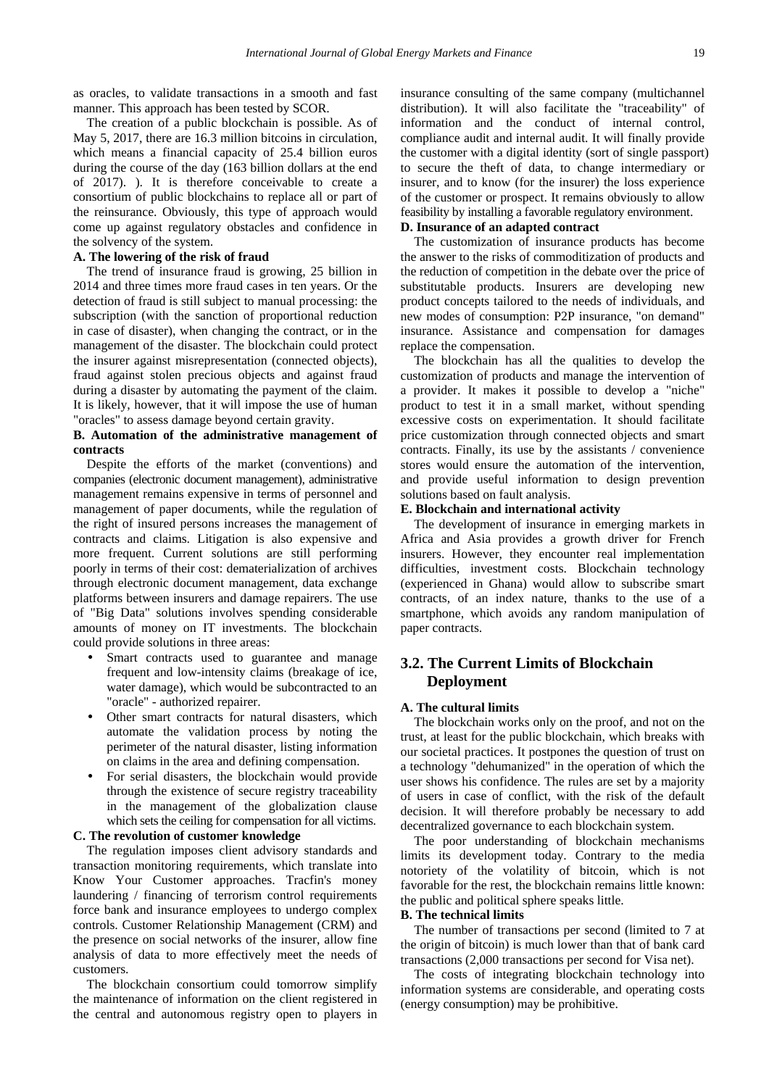as oracles, to validate transactions in a smooth and fast manner. This approach has been tested by SCOR.

The creation of a public blockchain is possible. As of May 5, 2017, there are 16.3 million bitcoins in circulation, which means a financial capacity of 25.4 billion euros during the course of the day (163 billion dollars at the end of 2017). ). It is therefore conceivable to create a consortium of public blockchains to replace all or part of the reinsurance. Obviously, this type of approach would come up against regulatory obstacles and confidence in the solvency of the system.

#### **A. The lowering of the risk of fraud**

The trend of insurance fraud is growing, 25 billion in 2014 and three times more fraud cases in ten years. Or the detection of fraud is still subject to manual processing: the subscription (with the sanction of proportional reduction in case of disaster), when changing the contract, or in the management of the disaster. The blockchain could protect the insurer against misrepresentation (connected objects), fraud against stolen precious objects and against fraud during a disaster by automating the payment of the claim. It is likely, however, that it will impose the use of human "oracles" to assess damage beyond certain gravity.

#### **B. Automation of the administrative management of contracts**

Despite the efforts of the market (conventions) and companies (electronic document management), administrative management remains expensive in terms of personnel and management of paper documents, while the regulation of the right of insured persons increases the management of contracts and claims. Litigation is also expensive and more frequent. Current solutions are still performing poorly in terms of their cost: dematerialization of archives through electronic document management, data exchange platforms between insurers and damage repairers. The use of "Big Data" solutions involves spending considerable amounts of money on IT investments. The blockchain could provide solutions in three areas:

- Smart contracts used to guarantee and manage frequent and low-intensity claims (breakage of ice, water damage), which would be subcontracted to an "oracle" - authorized repairer.
- Other smart contracts for natural disasters, which automate the validation process by noting the perimeter of the natural disaster, listing information on claims in the area and defining compensation.
- For serial disasters, the blockchain would provide through the existence of secure registry traceability in the management of the globalization clause which sets the ceiling for compensation for all victims.

#### **C. The revolution of customer knowledge**

The regulation imposes client advisory standards and transaction monitoring requirements, which translate into Know Your Customer approaches. Tracfin's money laundering / financing of terrorism control requirements force bank and insurance employees to undergo complex controls. Customer Relationship Management (CRM) and the presence on social networks of the insurer, allow fine analysis of data to more effectively meet the needs of customers.

The blockchain consortium could tomorrow simplify the maintenance of information on the client registered in the central and autonomous registry open to players in insurance consulting of the same company (multichannel distribution). It will also facilitate the "traceability" of information and the conduct of internal control, compliance audit and internal audit. It will finally provide the customer with a digital identity (sort of single passport) to secure the theft of data, to change intermediary or insurer, and to know (for the insurer) the loss experience of the customer or prospect. It remains obviously to allow feasibility by installing a favorable regulatory environment.

#### **D. Insurance of an adapted contract**

The customization of insurance products has become the answer to the risks of commoditization of products and the reduction of competition in the debate over the price of substitutable products. Insurers are developing new product concepts tailored to the needs of individuals, and new modes of consumption: P2P insurance, "on demand" insurance. Assistance and compensation for damages replace the compensation.

The blockchain has all the qualities to develop the customization of products and manage the intervention of a provider. It makes it possible to develop a "niche" product to test it in a small market, without spending excessive costs on experimentation. It should facilitate price customization through connected objects and smart contracts. Finally, its use by the assistants / convenience stores would ensure the automation of the intervention, and provide useful information to design prevention solutions based on fault analysis.

#### **E. Blockchain and international activity**

The development of insurance in emerging markets in Africa and Asia provides a growth driver for French insurers. However, they encounter real implementation difficulties, investment costs. Blockchain technology (experienced in Ghana) would allow to subscribe smart contracts, of an index nature, thanks to the use of a smartphone, which avoids any random manipulation of paper contracts.

## **3.2. The Current Limits of Blockchain Deployment**

#### **A. The cultural limits**

The blockchain works only on the proof, and not on the trust, at least for the public blockchain, which breaks with our societal practices. It postpones the question of trust on a technology "dehumanized" in the operation of which the user shows his confidence. The rules are set by a majority of users in case of conflict, with the risk of the default decision. It will therefore probably be necessary to add decentralized governance to each blockchain system.

The poor understanding of blockchain mechanisms limits its development today. Contrary to the media notoriety of the volatility of bitcoin, which is not favorable for the rest, the blockchain remains little known: the public and political sphere speaks little.

#### **B. The technical limits**

The number of transactions per second (limited to 7 at the origin of bitcoin) is much lower than that of bank card transactions (2,000 transactions per second for Visa net).

The costs of integrating blockchain technology into information systems are considerable, and operating costs (energy consumption) may be prohibitive.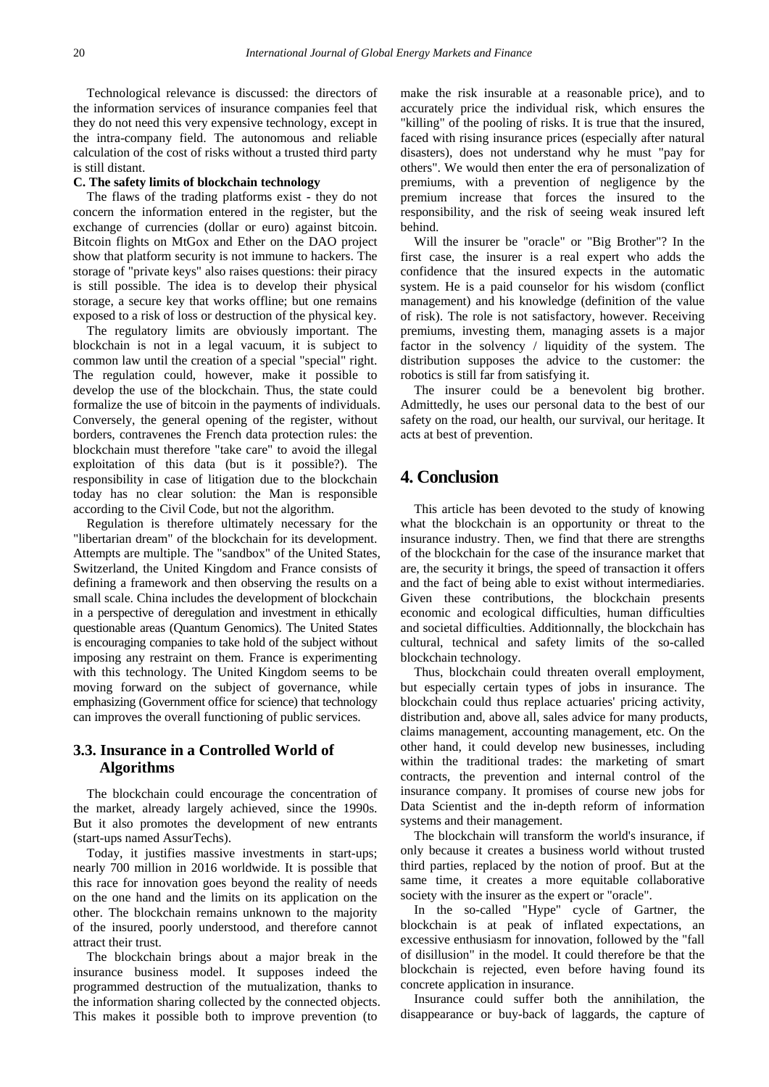Technological relevance is discussed: the directors of the information services of insurance companies feel that they do not need this very expensive technology, except in the intra-company field. The autonomous and reliable calculation of the cost of risks without a trusted third party is still distant.

#### **C. The safety limits of blockchain technology**

The flaws of the trading platforms exist - they do not concern the information entered in the register, but the exchange of currencies (dollar or euro) against bitcoin. Bitcoin flights on MtGox and Ether on the DAO project show that platform security is not immune to hackers. The storage of "private keys" also raises questions: their piracy is still possible. The idea is to develop their physical storage, a secure key that works offline; but one remains exposed to a risk of loss or destruction of the physical key.

The regulatory limits are obviously important. The blockchain is not in a legal vacuum, it is subject to common law until the creation of a special "special" right. The regulation could, however, make it possible to develop the use of the blockchain. Thus, the state could formalize the use of bitcoin in the payments of individuals. Conversely, the general opening of the register, without borders, contravenes the French data protection rules: the blockchain must therefore "take care" to avoid the illegal exploitation of this data (but is it possible?). The responsibility in case of litigation due to the blockchain today has no clear solution: the Man is responsible according to the Civil Code, but not the algorithm.

Regulation is therefore ultimately necessary for the "libertarian dream" of the blockchain for its development. Attempts are multiple. The "sandbox" of the United States, Switzerland, the United Kingdom and France consists of defining a framework and then observing the results on a small scale. China includes the development of blockchain in a perspective of deregulation and investment in ethically questionable areas (Quantum Genomics). The United States is encouraging companies to take hold of the subject without imposing any restraint on them. France is experimenting with this technology. The United Kingdom seems to be moving forward on the subject of governance, while emphasizing (Government office for science) that technology can improves the overall functioning of public services.

### **3.3. Insurance in a Controlled World of Algorithms**

The blockchain could encourage the concentration of the market, already largely achieved, since the 1990s. But it also promotes the development of new entrants (start-ups named AssurTechs).

Today, it justifies massive investments in start-ups; nearly 700 million in 2016 worldwide. It is possible that this race for innovation goes beyond the reality of needs on the one hand and the limits on its application on the other. The blockchain remains unknown to the majority of the insured, poorly understood, and therefore cannot attract their trust.

The blockchain brings about a major break in the insurance business model. It supposes indeed the programmed destruction of the mutualization, thanks to the information sharing collected by the connected objects. This makes it possible both to improve prevention (to make the risk insurable at a reasonable price), and to accurately price the individual risk, which ensures the "killing" of the pooling of risks. It is true that the insured, faced with rising insurance prices (especially after natural disasters), does not understand why he must "pay for others". We would then enter the era of personalization of premiums, with a prevention of negligence by the premium increase that forces the insured to the responsibility, and the risk of seeing weak insured left behind.

Will the insurer be "oracle" or "Big Brother"? In the first case, the insurer is a real expert who adds the confidence that the insured expects in the automatic system. He is a paid counselor for his wisdom (conflict management) and his knowledge (definition of the value of risk). The role is not satisfactory, however. Receiving premiums, investing them, managing assets is a major factor in the solvency / liquidity of the system. The distribution supposes the advice to the customer: the robotics is still far from satisfying it.

The insurer could be a benevolent big brother. Admittedly, he uses our personal data to the best of our safety on the road, our health, our survival, our heritage. It acts at best of prevention.

# **4. Conclusion**

This article has been devoted to the study of knowing what the blockchain is an opportunity or threat to the insurance industry. Then, we find that there are strengths of the blockchain for the case of the insurance market that are, the security it brings, the speed of transaction it offers and the fact of being able to exist without intermediaries. Given these contributions, the blockchain presents economic and ecological difficulties, human difficulties and societal difficulties. Additionnally, the blockchain has cultural, technical and safety limits of the so-called blockchain technology.

Thus, blockchain could threaten overall employment, but especially certain types of jobs in insurance. The blockchain could thus replace actuaries' pricing activity, distribution and, above all, sales advice for many products, claims management, accounting management, etc. On the other hand, it could develop new businesses, including within the traditional trades: the marketing of smart contracts, the prevention and internal control of the insurance company. It promises of course new jobs for Data Scientist and the in-depth reform of information systems and their management.

The blockchain will transform the world's insurance, if only because it creates a business world without trusted third parties, replaced by the notion of proof. But at the same time, it creates a more equitable collaborative society with the insurer as the expert or "oracle".

In the so-called "Hype" cycle of Gartner, the blockchain is at peak of inflated expectations, an excessive enthusiasm for innovation, followed by the "fall of disillusion" in the model. It could therefore be that the blockchain is rejected, even before having found its concrete application in insurance.

Insurance could suffer both the annihilation, the disappearance or buy-back of laggards, the capture of